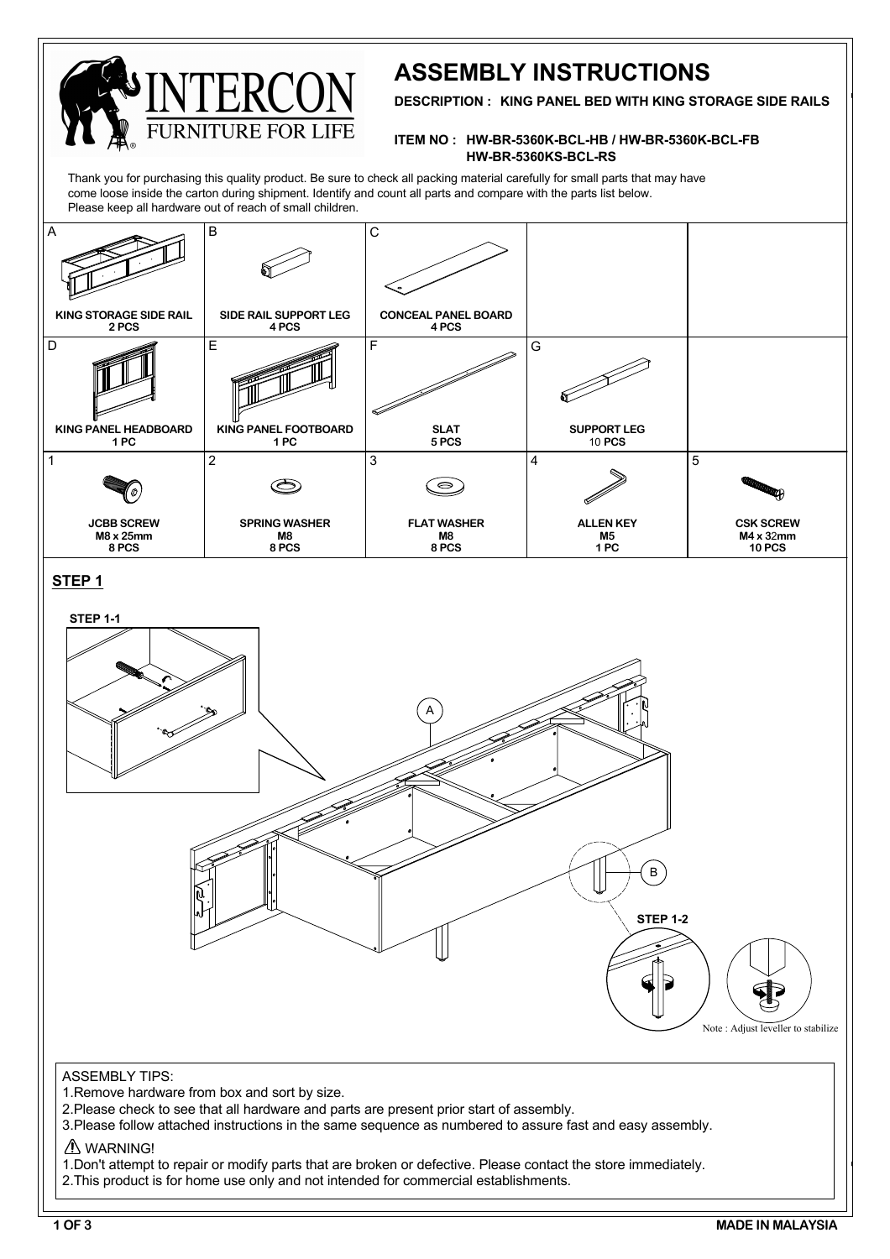

# **ASSEMBLY INSTRUCTIONS**

**DESCRIPTION : KING PANEL BED WITH KING STORAGE SIDE RAILS**

### **ITEM NO : HW-BR-5360K-BCL-HB / HW-BR-5360K-BCL-FB HW-BR-5360KS-BCL-RS**

Thank you for purchasing this quality product. Be sure to check all packing material carefully for small parts that may have come loose inside the carton during shipment. Identify and count all parts and compare with the parts list below. Please keep all hardware out of reach of small children.

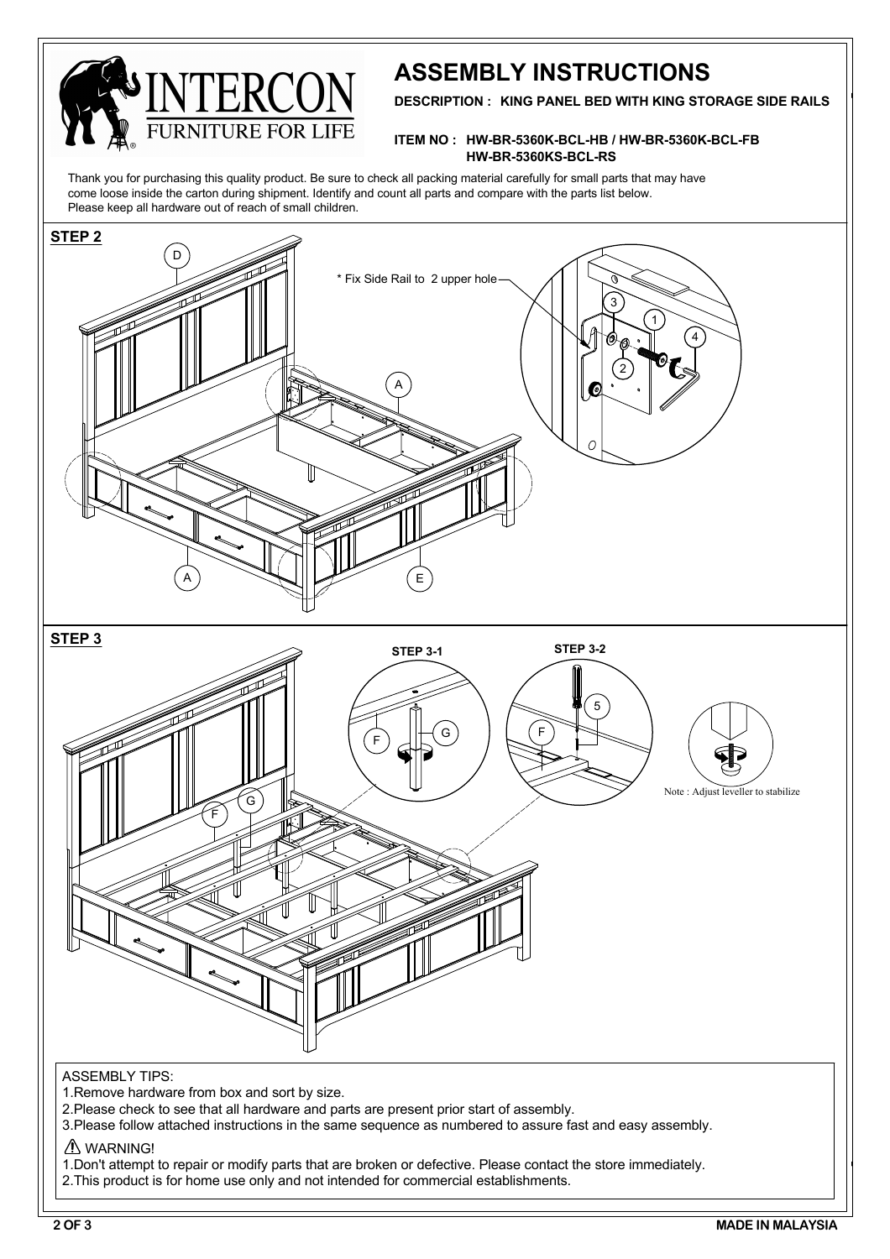

## **ASSEMBLY INSTRUCTIONS**

**DESCRIPTION : KING PANEL BED WITH KING STORAGE SIDE RAILS**

#### **ITEM NO : HW-BR-5360K-BCL-HB / HW-BR-5360K-BCL-FB HW-BR-5360KS-BCL-RS**

Thank you for purchasing this quality product. Be sure to check all packing material carefully for small parts that may have come loose inside the carton during shipment. Identify and count all parts and compare with the parts list below. Please keep all hardware out of reach of small children.